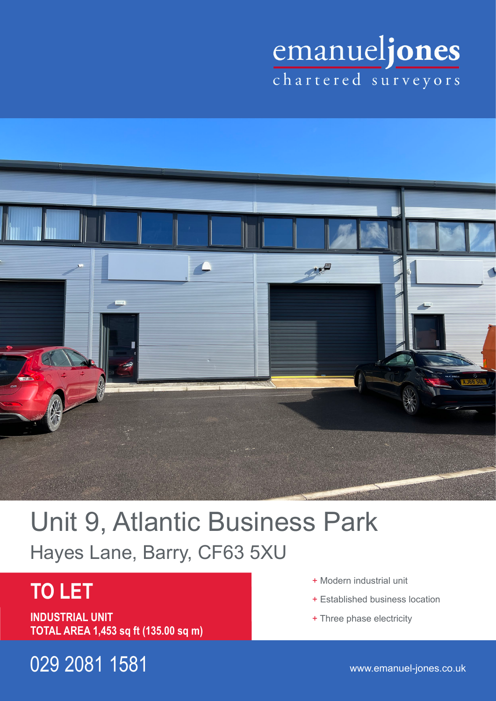# emanueljones



## Unit 9, Atlantic Business Park Hayes Lane, Barry, CF63 5XU

## **TO LET**

**INDUSTRIAL UNIT TOTAL AREA 1,453 sq ft (135.00 sq m)**

029 2081 1581 www.emanuel-jones.co.uk

- + Modern industrial unit
- + Established business location
- + Three phase electricity